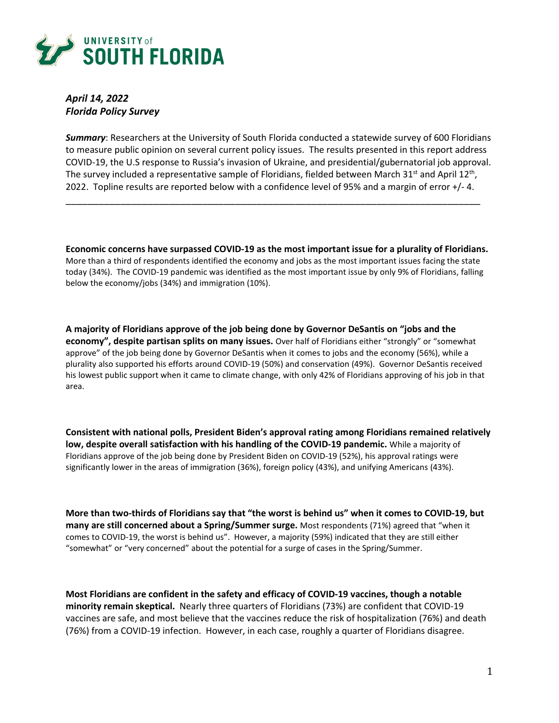

*April 14, 2022 Florida Policy Survey*

*Summary*: Researchers at the University of South Florida conducted a statewide survey of 600 Floridians to measure public opinion on several current policy issues. The results presented in this report address COVID-19, the U.S response to Russia's invasion of Ukraine, and presidential/gubernatorial job approval. The survey included a representative sample of Floridians, fielded between March 31<sup>st</sup> and April 12<sup>th</sup>, 2022. Topline results are reported below with a confidence level of 95% and a margin of error +/- 4.

\_\_\_\_\_\_\_\_\_\_\_\_\_\_\_\_\_\_\_\_\_\_\_\_\_\_\_\_\_\_\_\_\_\_\_\_\_\_\_\_\_\_\_\_\_\_\_\_\_\_\_\_\_\_\_\_\_\_\_\_\_\_\_\_\_\_\_\_\_\_\_\_\_\_\_\_

**Economic concerns have surpassed COVID-19 as the most important issue for a plurality of Floridians.** More than a third of respondents identified the economy and jobs as the most important issues facing the state today (34%). The COVID-19 pandemic was identified as the most important issue by only 9% of Floridians, falling below the economy/jobs (34%) and immigration (10%).

**A majority of Floridians approve of the job being done by Governor DeSantis on "jobs and the economy", despite partisan splits on many issues.** Over half of Floridians either "strongly" or "somewhat approve" of the job being done by Governor DeSantis when it comes to jobs and the economy (56%), while a plurality also supported his efforts around COVID-19 (50%) and conservation (49%). Governor DeSantis received his lowest public support when it came to climate change, with only 42% of Floridians approving of his job in that area.

**Consistent with national polls, President Biden's approval rating among Floridians remained relatively low, despite overall satisfaction with his handling of the COVID-19 pandemic.** While a majority of Floridians approve of the job being done by President Biden on COVID-19 (52%), his approval ratings were significantly lower in the areas of immigration (36%), foreign policy (43%), and unifying Americans (43%).

**More than two-thirds of Floridians say that "the worst is behind us" when it comes to COVID-19, but many are still concerned about a Spring/Summer surge.** Most respondents (71%) agreed that "when it comes to COVID-19, the worst is behind us". However, a majority (59%) indicated that they are still either "somewhat" or "very concerned" about the potential for a surge of cases in the Spring/Summer.

**Most Floridians are confident in the safety and efficacy of COVID-19 vaccines, though a notable minority remain skeptical.** Nearly three quarters of Floridians (73%) are confident that COVID-19 vaccines are safe, and most believe that the vaccines reduce the risk of hospitalization (76%) and death (76%) from a COVID-19 infection. However, in each case, roughly a quarter of Floridians disagree.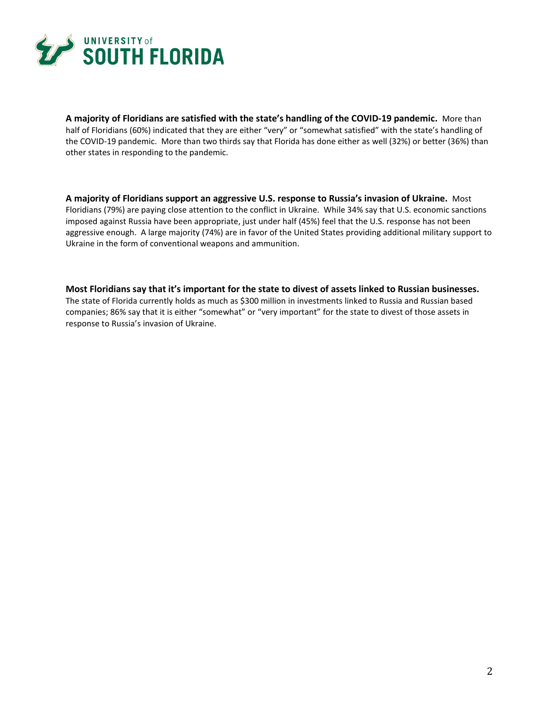

**A majority of Floridians are satisfied with the state's handling of the COVID-19 pandemic.** More than half of Floridians (60%) indicated that they are either "very" or "somewhat satisfied" with the state's handling of the COVID-19 pandemic. More than two thirds say that Florida has done either as well (32%) or better (36%) than other states in responding to the pandemic.

**A majority of Floridians support an aggressive U.S. response to Russia's invasion of Ukraine.** Most Floridians (79%) are paying close attention to the conflict in Ukraine. While 34% say that U.S. economic sanctions imposed against Russia have been appropriate, just under half (45%) feel that the U.S. response has not been aggressive enough. A large majority (74%) are in favor of the United States providing additional military support to Ukraine in the form of conventional weapons and ammunition.

**Most Floridians say that it's important for the state to divest of assets linked to Russian businesses.** The state of Florida currently holds as much as \$300 million in investments linked to Russia and Russian based companies; 86% say that it is either "somewhat" or "very important" for the state to divest of those assets in response to Russia's invasion of Ukraine.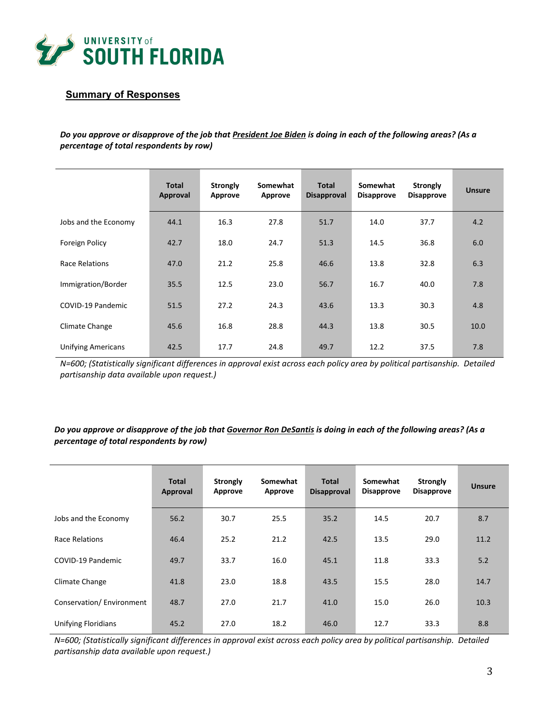

## **Summary of Responses**

*Do you approve or disapprove of the job that President Joe Biden is doing in each of the following areas? (As a percentage of total respondents by row)*

|                           | <b>Total</b><br>Approval | <b>Strongly</b><br>Approve | Somewhat<br>Approve | <b>Total</b><br><b>Disapproval</b> | Somewhat<br><b>Disapprove</b> | <b>Strongly</b><br><b>Disapprove</b> | <b>Unsure</b> |
|---------------------------|--------------------------|----------------------------|---------------------|------------------------------------|-------------------------------|--------------------------------------|---------------|
| Jobs and the Economy      | 44.1                     | 16.3                       | 27.8                | 51.7                               | 14.0                          | 37.7                                 | 4.2           |
| Foreign Policy            | 42.7                     | 18.0                       | 24.7                | 51.3                               | 14.5                          | 36.8                                 | 6.0           |
| <b>Race Relations</b>     | 47.0                     | 21.2                       | 25.8                | 46.6                               | 13.8                          | 32.8                                 | 6.3           |
| Immigration/Border        | 35.5                     | 12.5                       | 23.0                | 56.7                               | 16.7                          | 40.0                                 | 7.8           |
| COVID-19 Pandemic         | 51.5                     | 27.2                       | 24.3                | 43.6                               | 13.3                          | 30.3                                 | 4.8           |
| Climate Change            | 45.6                     | 16.8                       | 28.8                | 44.3                               | 13.8                          | 30.5                                 | 10.0          |
| <b>Unifying Americans</b> | 42.5                     | 17.7                       | 24.8                | 49.7                               | 12.2                          | 37.5                                 | 7.8           |

*N=600; (Statistically significant differences in approval exist across each policy area by political partisanship. Detailed partisanship data available upon request.)*

#### *Do you approve or disapprove of the job that Governor Ron DeSantis is doing in each of the following areas? (As a percentage of total respondents by row)*

|                            | <b>Total</b><br>Approval | Strongly<br>Approve | Somewhat<br>Approve | <b>Total</b><br><b>Disapproval</b> | Somewhat<br><b>Disapprove</b> | <b>Strongly</b><br><b>Disapprove</b> | <b>Unsure</b> |
|----------------------------|--------------------------|---------------------|---------------------|------------------------------------|-------------------------------|--------------------------------------|---------------|
| Jobs and the Economy       | 56.2                     | 30.7                | 25.5                | 35.2                               | 14.5                          | 20.7                                 | 8.7           |
| Race Relations             | 46.4                     | 25.2                | 21.2                | 42.5                               | 13.5                          | 29.0                                 | 11.2          |
| COVID-19 Pandemic          | 49.7                     | 33.7                | 16.0                | 45.1                               | 11.8                          | 33.3                                 | 5.2           |
| Climate Change             | 41.8                     | 23.0                | 18.8                | 43.5                               | 15.5                          | 28.0                                 | 14.7          |
| Conservation/Environment   | 48.7                     | 27.0                | 21.7                | 41.0                               | 15.0                          | 26.0                                 | 10.3          |
| <b>Unifying Floridians</b> | 45.2                     | 27.0                | 18.2                | 46.0                               | 12.7                          | 33.3                                 | 8.8           |

*N=600; (Statistically significant differences in approval exist across each policy area by political partisanship. Detailed partisanship data available upon request.)*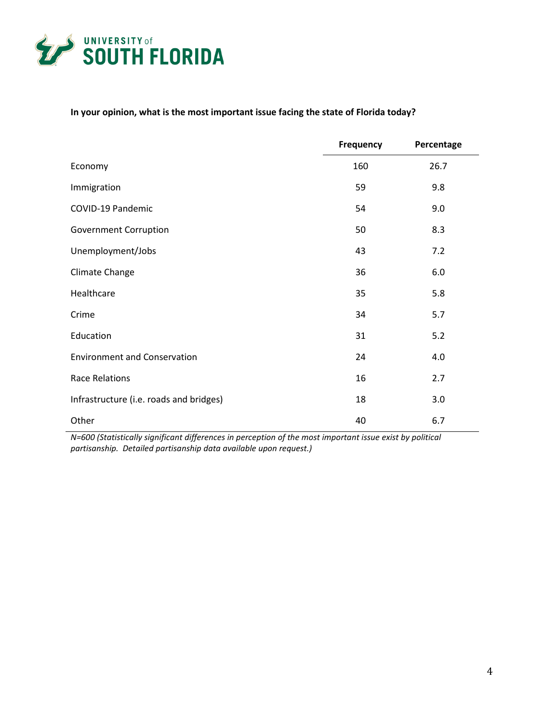

# **In your opinion, what is the most important issue facing the state of Florida today?**

|                                         | Frequency | Percentage |
|-----------------------------------------|-----------|------------|
| Economy                                 | 160       | 26.7       |
| Immigration                             | 59        | 9.8        |
| COVID-19 Pandemic                       | 54        | 9.0        |
| Government Corruption                   | 50        | 8.3        |
| Unemployment/Jobs                       | 43        | 7.2        |
| Climate Change                          | 36        | 6.0        |
| Healthcare                              | 35        | 5.8        |
| Crime                                   | 34        | 5.7        |
| Education                               | 31        | 5.2        |
| <b>Environment and Conservation</b>     | 24        | 4.0        |
| <b>Race Relations</b>                   | 16        | 2.7        |
| Infrastructure (i.e. roads and bridges) | 18        | 3.0        |
| Other                                   | 40        | 6.7        |

*N=600 (Statistically significant differences in perception of the most important issue exist by political partisanship. Detailed partisanship data available upon request.)*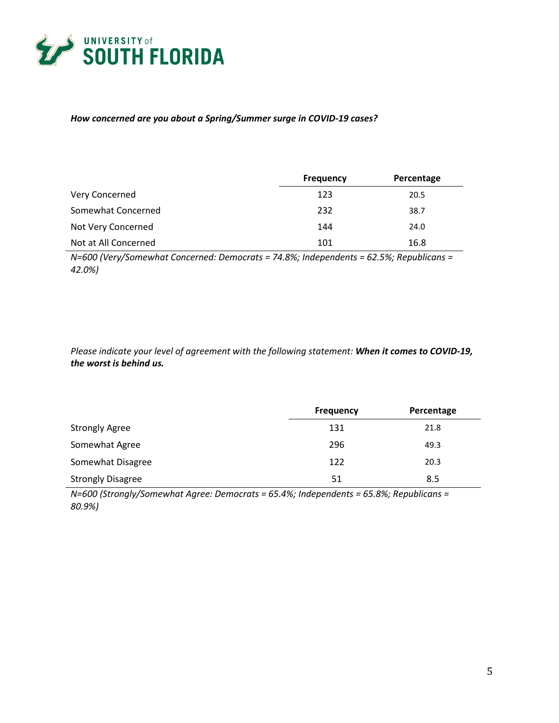

### *How concerned are you about a Spring/Summer surge in COVID-19 cases?*

|                      | <b>Frequency</b> | Percentage |
|----------------------|------------------|------------|
| Very Concerned       | 123              | 20.5       |
| Somewhat Concerned   | 232              | 38.7       |
| Not Very Concerned   | 144              | 24.0       |
| Not at All Concerned | 101              | 16.8       |

*N=600 (Very/Somewhat Concerned: Democrats = 74.8%; Independents = 62.5%; Republicans = 42.0%)*

*Please indicate your level of agreement with the following statement: When it comes to COVID-19, the worst is behind us.*

|                          | <b>Frequency</b> | Percentage |
|--------------------------|------------------|------------|
| <b>Strongly Agree</b>    | 131              | 21.8       |
| Somewhat Agree           | 296              | 49.3       |
| Somewhat Disagree        | 122              | 20.3       |
| <b>Strongly Disagree</b> | 51               | 8.5        |

*N=600 (Strongly/Somewhat Agree: Democrats = 65.4%; Independents = 65.8%; Republicans = 80.9%)*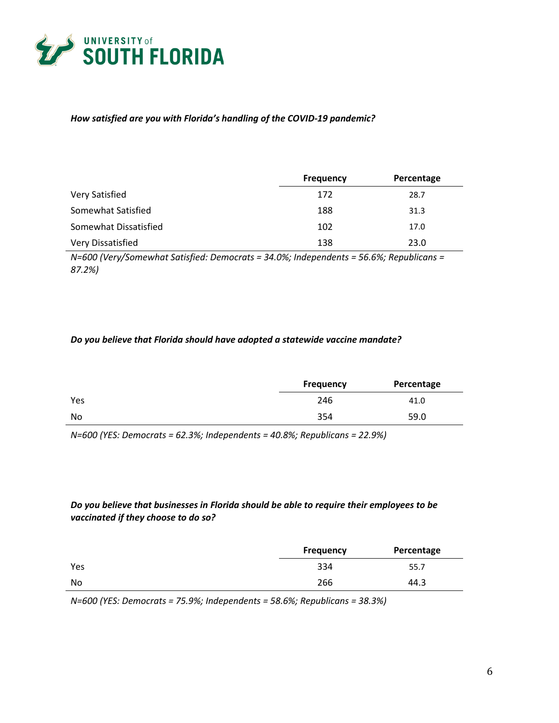

#### *How satisfied are you with Florida's handling of the COVID-19 pandemic?*

|                       | <b>Frequency</b> | Percentage |
|-----------------------|------------------|------------|
| Very Satisfied        | 172              | 28.7       |
| Somewhat Satisfied    | 188              | 31.3       |
| Somewhat Dissatisfied | 102              | 17.0       |
| Very Dissatisfied     | 138              | 23.0       |

*N=600 (Very/Somewhat Satisfied: Democrats = 34.0%; Independents = 56.6%; Republicans = 87.2%)*

#### *Do you believe that Florida should have adopted a statewide vaccine mandate?*

|     | <b>Frequency</b> | Percentage |
|-----|------------------|------------|
| Yes | 246              | 41.0       |
| No  | 354              | 59.0       |

*N=600 (YES: Democrats = 62.3%; Independents = 40.8%; Republicans = 22.9%)*

### *Do you believe that businesses in Florida should be able to require their employees to be vaccinated if they choose to do so?*

|     | <b>Frequency</b> | Percentage |
|-----|------------------|------------|
| Yes | 334              | 55.7       |
| No  | 266              | 44.3       |

*N=600 (YES: Democrats = 75.9%; Independents = 58.6%; Republicans = 38.3%)*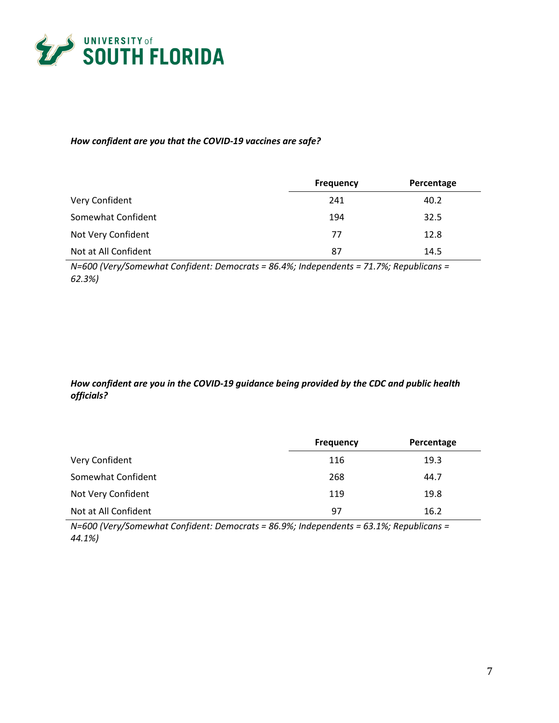

### *How confident are you that the COVID-19 vaccines are safe?*

|                      | <b>Frequency</b> | Percentage |
|----------------------|------------------|------------|
| Very Confident       | 241              | 40.2       |
| Somewhat Confident   | 194              | 32.5       |
| Not Very Confident   | 77               | 12.8       |
| Not at All Confident | 87               | 14.5       |

*N=600 (Very/Somewhat Confident: Democrats = 86.4%; Independents = 71.7%; Republicans = 62.3%)*

# *How confident are you in the COVID-19 guidance being provided by the CDC and public health officials?*

|                      | <b>Frequency</b> | Percentage |
|----------------------|------------------|------------|
| Very Confident       | 116              | 19.3       |
| Somewhat Confident   | 268              | 44.7       |
| Not Very Confident   | 119              | 19.8       |
| Not at All Confident | 97               | 16.2       |

*N=600 (Very/Somewhat Confident: Democrats = 86.9%; Independents = 63.1%; Republicans = 44.1%)*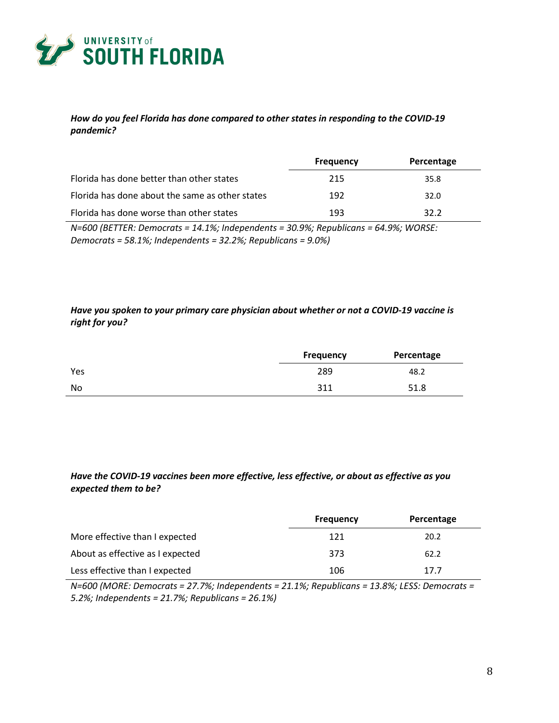

### *How do you feel Florida has done compared to other states in responding to the COVID-19 pandemic?*

|                                                 | <b>Frequency</b> | Percentage |
|-------------------------------------------------|------------------|------------|
| Florida has done better than other states       | 215              | 35.8       |
| Florida has done about the same as other states | 192              | 32.0       |
| Florida has done worse than other states        | 193              | 32.2       |

*N=600 (BETTER: Democrats = 14.1%; Independents = 30.9%; Republicans = 64.9%; WORSE: Democrats = 58.1%; Independents = 32.2%; Republicans = 9.0%)*

### *Have you spoken to your primary care physician about whether or not a COVID-19 vaccine is right for you?*

|     | Percentage<br><b>Frequency</b> |      |
|-----|--------------------------------|------|
| Yes | 289                            | 48.2 |
| No  | 311                            | 51.8 |

### *Have the COVID-19 vaccines been more effective, less effective, or about as effective as you expected them to be?*

|                                  | <b>Frequency</b> | Percentage |
|----------------------------------|------------------|------------|
| More effective than I expected   | 121              | 20.2       |
| About as effective as I expected | 373              | 62.2       |
| Less effective than I expected   | 106              | 17.7       |

*N=600 (MORE: Democrats = 27.7%; Independents = 21.1%; Republicans = 13.8%; LESS: Democrats = 5.2%; Independents = 21.7%; Republicans = 26.1%)*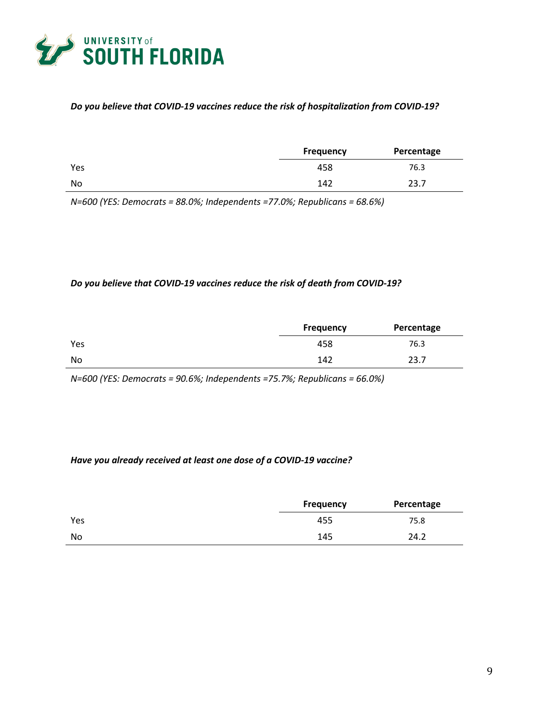

### *Do you believe that COVID-19 vaccines reduce the risk of hospitalization from COVID-19?*

|     | <b>Frequency</b> | Percentage |
|-----|------------------|------------|
| Yes | 458              | 76.3       |
| No  | 142              | 23.7       |

*N=600 (YES: Democrats = 88.0%; Independents =77.0%; Republicans = 68.6%)*

#### *Do you believe that COVID-19 vaccines reduce the risk of death from COVID-19?*

|     | <b>Frequency</b> | Percentage |
|-----|------------------|------------|
| Yes | 458              | 76.3       |
| No  | 142              | 23.7       |

*N=600 (YES: Democrats = 90.6%; Independents =75.7%; Republicans = 66.0%)*

#### *Have you already received at least one dose of a COVID-19 vaccine?*

|     | Frequency | Percentage |
|-----|-----------|------------|
| Yes | 455       | 75.8       |
| No  | 145       | 24.2       |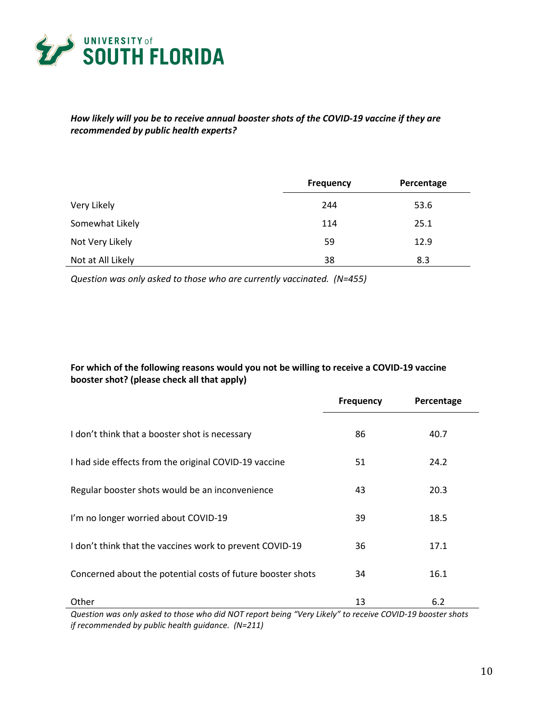

### *How likely will you be to receive annual booster shots of the COVID-19 vaccine if they are recommended by public health experts?*

|                   | <b>Frequency</b> | Percentage |
|-------------------|------------------|------------|
| Very Likely       | 244              | 53.6       |
| Somewhat Likely   | 114              | 25.1       |
| Not Very Likely   | 59               | 12.9       |
| Not at All Likely | 38               | 8.3        |

*Question was only asked to those who are currently vaccinated. (N=455)*

# **For which of the following reasons would you not be willing to receive a COVID-19 vaccine booster shot? (please check all that apply)**

|                                                                                                                    | <b>Frequency</b> | Percentage |
|--------------------------------------------------------------------------------------------------------------------|------------------|------------|
| I don't think that a booster shot is necessary                                                                     | 86               | 40.7       |
| I had side effects from the original COVID-19 vaccine                                                              | 51               | 24.2       |
| Regular booster shots would be an inconvenience                                                                    | 43               | 20.3       |
| I'm no longer worried about COVID-19                                                                               | 39               | 18.5       |
| I don't think that the vaccines work to prevent COVID-19                                                           | 36               | 17.1       |
| Concerned about the potential costs of future booster shots                                                        | 34               | 16.1       |
| Other<br>Question was only asked to those who did NOT report being "Very Likely" to receive COVID-19 booster shots | 13               | 6.2        |

*Question was only asked to those who did NOT report being "Very Likely" to receive COVID-19 booster shots if recommended by public health guidance. (N=211)*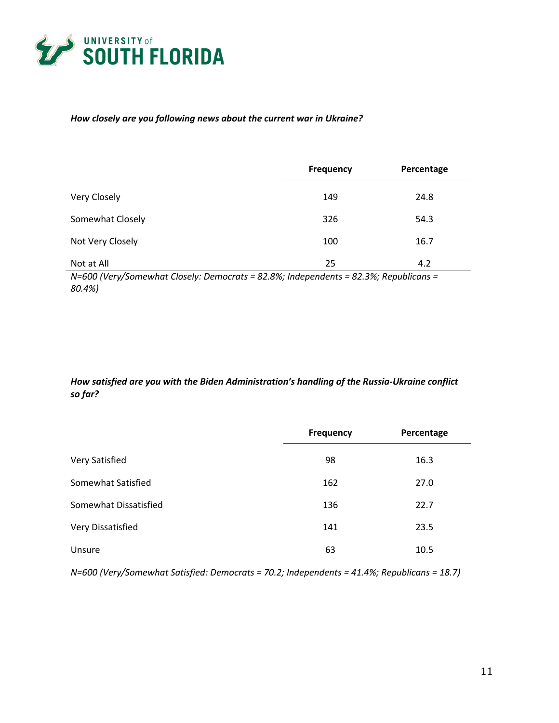

### *How closely are you following news about the current war in Ukraine?*

|                                                                                                       | <b>Frequency</b> | Percentage |
|-------------------------------------------------------------------------------------------------------|------------------|------------|
| Very Closely                                                                                          | 149              | 24.8       |
| Somewhat Closely                                                                                      | 326              | 54.3       |
| Not Very Closely                                                                                      | 100              | 16.7       |
| Not at All<br>$N=600$ Wary/Samowhat Closaly: Damosrats = 02.00%; Indonendants = 02.00%; Panublicans = | 25               | 4.2        |

*N=600 (Very/Somewhat Closely: Democrats = 82.8%; Independents = 82.3%; Republicans = 80.4%)*

## *How satisfied are you with the Biden Administration's handling of the Russia-Ukraine conflict so far?*

|                       | <b>Frequency</b> | Percentage |
|-----------------------|------------------|------------|
| Very Satisfied        | 98               | 16.3       |
| Somewhat Satisfied    | 162              | 27.0       |
| Somewhat Dissatisfied | 136              | 22.7       |
| Very Dissatisfied     | 141              | 23.5       |
| Unsure                | 63               | 10.5       |

*N=600 (Very/Somewhat Satisfied: Democrats = 70.2; Independents = 41.4%; Republicans = 18.7)*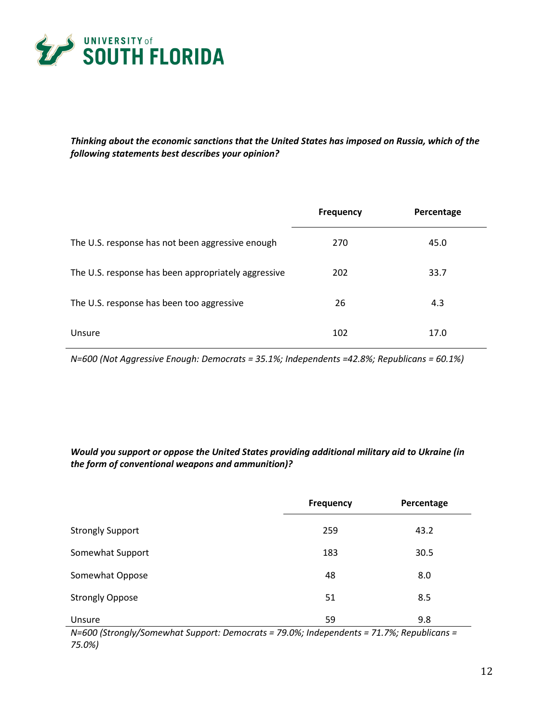

*Thinking about the economic sanctions that the United States has imposed on Russia, which of the following statements best describes your opinion?*

|                                                     | Frequency | Percentage |
|-----------------------------------------------------|-----------|------------|
| The U.S. response has not been aggressive enough    | 270       | 45.0       |
| The U.S. response has been appropriately aggressive | 202       | 33.7       |
| The U.S. response has been too aggressive           | 26        | 4.3        |
| Unsure                                              | 102       | 17.0       |

*N=600 (Not Aggressive Enough: Democrats = 35.1%; Independents =42.8%; Republicans = 60.1%)*

## *Would you support or oppose the United States providing additional military aid to Ukraine (in the form of conventional weapons and ammunition)?*

|                         | <b>Frequency</b> | Percentage |
|-------------------------|------------------|------------|
| <b>Strongly Support</b> | 259              | 43.2       |
| Somewhat Support        | 183              | 30.5       |
| Somewhat Oppose         | 48               | 8.0        |
| <b>Strongly Oppose</b>  | 51               | 8.5        |
| Unsure                  | 59               | 9.8        |

*N=600 (Strongly/Somewhat Support: Democrats = 79.0%; Independents = 71.7%; Republicans = 75.0%)*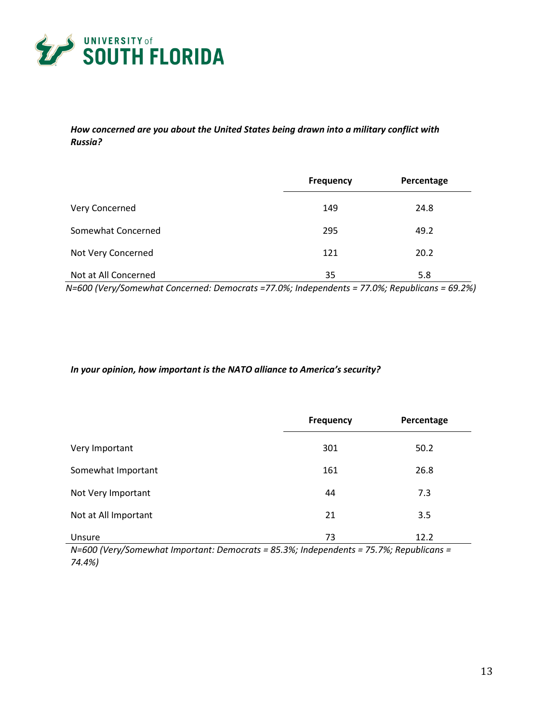

### *How concerned are you about the United States being drawn into a military conflict with Russia?*

|                      | <b>Frequency</b> | Percentage |
|----------------------|------------------|------------|
| Very Concerned       | 149              | 24.8       |
| Somewhat Concerned   | 295              | 49.2       |
| Not Very Concerned   | 121              | 20.2       |
| Not at All Concerned | 35               | 5.8        |

*N=600 (Very/Somewhat Concerned: Democrats =77.0%; Independents = 77.0%; Republicans = 69.2%)*

### *In your opinion, how important is the NATO alliance to America's security?*

|                      | <b>Frequency</b> | Percentage |
|----------------------|------------------|------------|
| Very Important       | 301              | 50.2       |
| Somewhat Important   | 161              | 26.8       |
| Not Very Important   | 44               | 7.3        |
| Not at All Important | 21               | 3.5        |
| Unsure               | 73               | 12.2       |

*N=600 (Very/Somewhat Important: Democrats = 85.3%; Independents = 75.7%; Republicans = 74.4%)*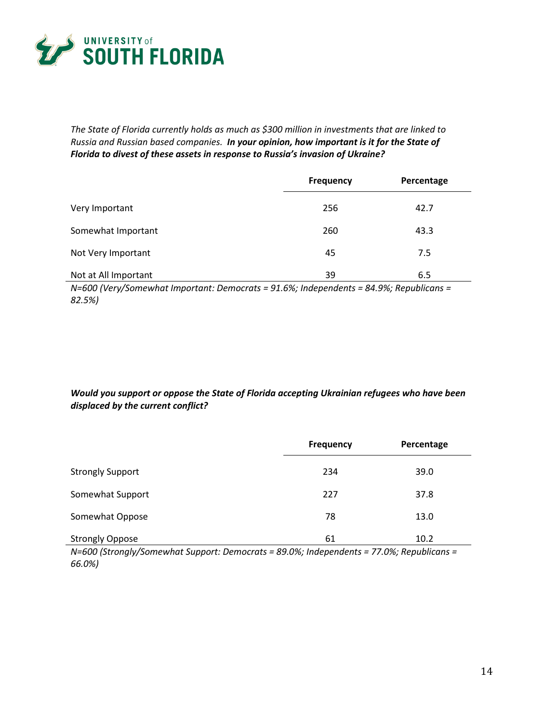

*The State of Florida currently holds as much as \$300 million in investments that are linked to Russia and Russian based companies. In your opinion, how important is it for the State of Florida to divest of these assets in response to Russia's invasion of Ukraine?*

|                      | <b>Frequency</b> | Percentage |
|----------------------|------------------|------------|
| Very Important       | 256              | 42.7       |
| Somewhat Important   | 260              | 43.3       |
| Not Very Important   | 45               | 7.5        |
| Not at All Important | 39               | 6.5        |

*N=600 (Very/Somewhat Important: Democrats = 91.6%; Independents = 84.9%; Republicans = 82.5%)*

*Would you support or oppose the State of Florida accepting Ukrainian refugees who have been displaced by the current conflict?*

|                         | <b>Frequency</b> | Percentage |
|-------------------------|------------------|------------|
| <b>Strongly Support</b> | 234              | 39.0       |
| Somewhat Support        | 227              | 37.8       |
| Somewhat Oppose         | 78               | 13.0       |
| <b>Strongly Oppose</b>  | 61               | 10.2       |

*N=600 (Strongly/Somewhat Support: Democrats = 89.0%; Independents = 77.0%; Republicans = 66.0%)*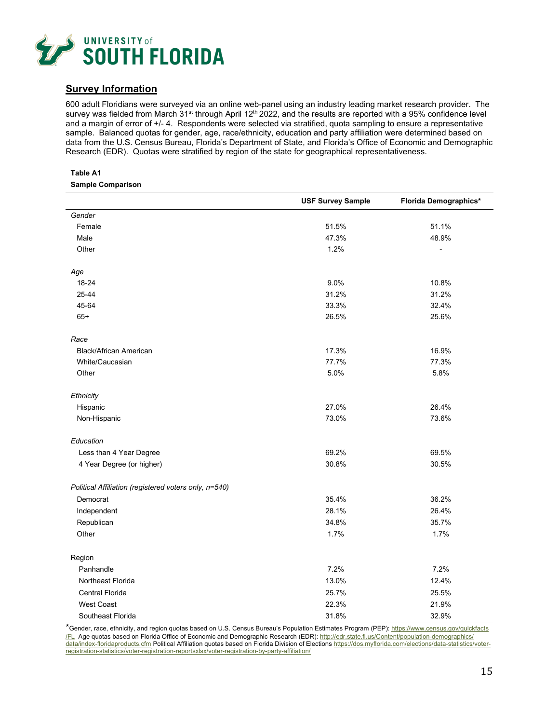

### **Survey Information**

600 adult Floridians were surveyed via an online web-panel using an industry leading market research provider. The survey was fielded from March 31<sup>st</sup> through April 12<sup>th</sup> 2022, and the results are reported with a 95% confidence level and a margin of error of +/- 4. Respondents were selected via stratified, quota sampling to ensure a representative sample. Balanced quotas for gender, age, race/ethnicity, education and party affiliation were determined based on data from the U.S. Census Bureau, Florida's Department of State, and Florida's Office of Economic and Demographic Research (EDR). Quotas were stratified by region of the state for geographical representativeness.

#### **Table A1 Sample Comparison**

|                                                       | <b>USF Survey Sample</b> | Florida Demographics* |
|-------------------------------------------------------|--------------------------|-----------------------|
| Gender                                                |                          |                       |
| Female                                                | 51.5%                    | 51.1%                 |
| Male                                                  | 47.3%                    | 48.9%                 |
| Other                                                 | 1.2%                     |                       |
| Age                                                   |                          |                       |
| 18-24                                                 | 9.0%                     | 10.8%                 |
| 25-44                                                 | 31.2%                    | 31.2%                 |
| 45-64                                                 | 33.3%                    | 32.4%                 |
| $65+$                                                 | 26.5%                    | 25.6%                 |
| Race                                                  |                          |                       |
| <b>Black/African American</b>                         | 17.3%                    | 16.9%                 |
| White/Caucasian                                       | 77.7%                    | 77.3%                 |
| Other                                                 | 5.0%                     | 5.8%                  |
| Ethnicity                                             |                          |                       |
| Hispanic                                              | 27.0%                    | 26.4%                 |
| Non-Hispanic                                          | 73.0%                    | 73.6%                 |
| Education                                             |                          |                       |
| Less than 4 Year Degree                               | 69.2%                    | 69.5%                 |
| 4 Year Degree (or higher)                             | 30.8%                    | 30.5%                 |
| Political Affiliation (registered voters only, n=540) |                          |                       |
| Democrat                                              | 35.4%                    | 36.2%                 |
| Independent                                           | 28.1%                    | 26.4%                 |
| Republican                                            | 34.8%                    | 35.7%                 |
| Other                                                 | 1.7%                     | 1.7%                  |
| Region                                                |                          |                       |
| Panhandle                                             | 7.2%                     | 7.2%                  |
| Northeast Florida                                     | 13.0%                    | 12.4%                 |
| <b>Central Florida</b>                                | 25.7%                    | 25.5%                 |
| West Coast                                            | 22.3%                    | 21.9%                 |
| Southeast Florida                                     | 31.8%                    | 32.9%                 |

\*Gender, race, ethnicity, and region quotas based on U.S. Census Bureau's Population Estimates Program (PEP): [https://www.census.gov/quickfacts](https://www.census.gov/quickfacts%E2%80%8C/FL) [/FL](https://www.census.gov/quickfacts%E2%80%8C/FL) Age quotas based on Florida Office of Economic and Demographic Research (EDR)[: http://edr.state.fl.us/Content/population-demographics/](http://edr.state.fl.us/Content/population-demographics/data/index-floridaproducts.cfm) [data/index-floridaproducts.cfm](http://edr.state.fl.us/Content/population-demographics/data/index-floridaproducts.cfm) Political Affiliation quotas based on Florida Division of Elections [https://dos.myflorida.com/elections/data-statistics/voter](https://dos.myflorida.com/elections/data-statistics/voter-registration-statistics/voter-registration-reportsxlsx/voter-registration-by-party-affiliation/)[registration-statistics/voter-registration-reportsxlsx/voter-registration-by-party-affiliation/](https://dos.myflorida.com/elections/data-statistics/voter-registration-statistics/voter-registration-reportsxlsx/voter-registration-by-party-affiliation/)